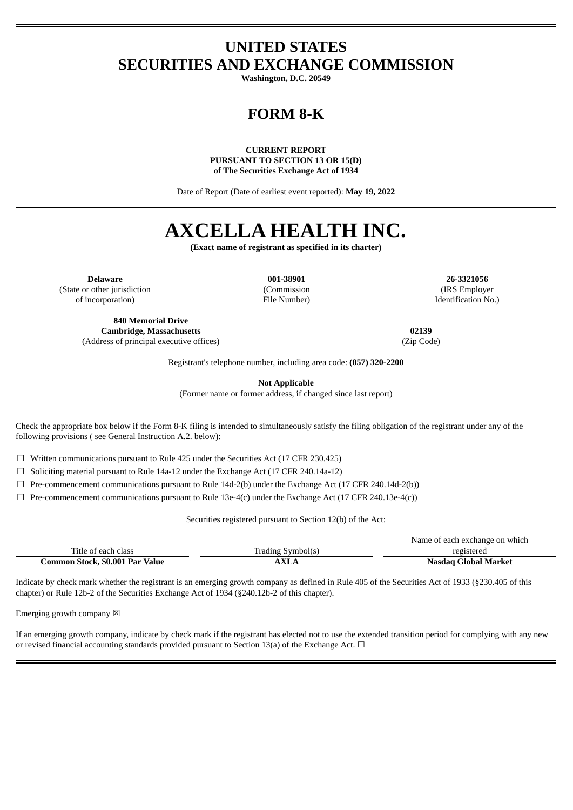### **UNITED STATES SECURITIES AND EXCHANGE COMMISSION**

**Washington, D.C. 20549**

## **FORM 8-K**

**CURRENT REPORT PURSUANT TO SECTION 13 OR 15(D) of The Securities Exchange Act of 1934**

Date of Report (Date of earliest event reported): **May 19, 2022**

# **AXCELLA HEALTH INC.**

**(Exact name of registrant as specified in its charter)**

**Delaware 001-38901 26-3321056** (State or other jurisdiction of incorporation)

**840 Memorial Drive Cambridge, Massachusetts 02139** (Address of principal executive offices) (Zip Code)

(Commission File Number)

(IRS Employer Identification No.)

Registrant's telephone number, including area code: **(857) 320-2200**

**Not Applicable**

(Former name or former address, if changed since last report)

Check the appropriate box below if the Form 8-K filing is intended to simultaneously satisfy the filing obligation of the registrant under any of the following provisions ( see General Instruction A.2. below):

 $\Box$  Written communications pursuant to Rule 425 under the Securities Act (17 CFR 230.425)

☐ Soliciting material pursuant to Rule 14a-12 under the Exchange Act (17 CFR 240.14a-12)

 $\Box$  Pre-commencement communications pursuant to Rule 14d-2(b) under the Exchange Act (17 CFR 240.14d-2(b))

 $\Box$  Pre-commencement communications pursuant to Rule 13e-4(c) under the Exchange Act (17 CFR 240.13e-4(c))

Securities registered pursuant to Section 12(b) of the Act:

|                                 |                   | Name of each exchange on which |
|---------------------------------|-------------------|--------------------------------|
| Title of each class             | Trading Symbol(s) | registered                     |
| Common Stock, \$0.001 Par Value | AXLA              | Nasdag Global Market           |

Indicate by check mark whether the registrant is an emerging growth company as defined in Rule 405 of the Securities Act of 1933 (§230.405 of this chapter) or Rule 12b-2 of the Securities Exchange Act of 1934 (§240.12b-2 of this chapter).

Emerging growth company  $\boxtimes$ 

If an emerging growth company, indicate by check mark if the registrant has elected not to use the extended transition period for complying with any new or revised financial accounting standards provided pursuant to Section 13(a) of the Exchange Act.  $\Box$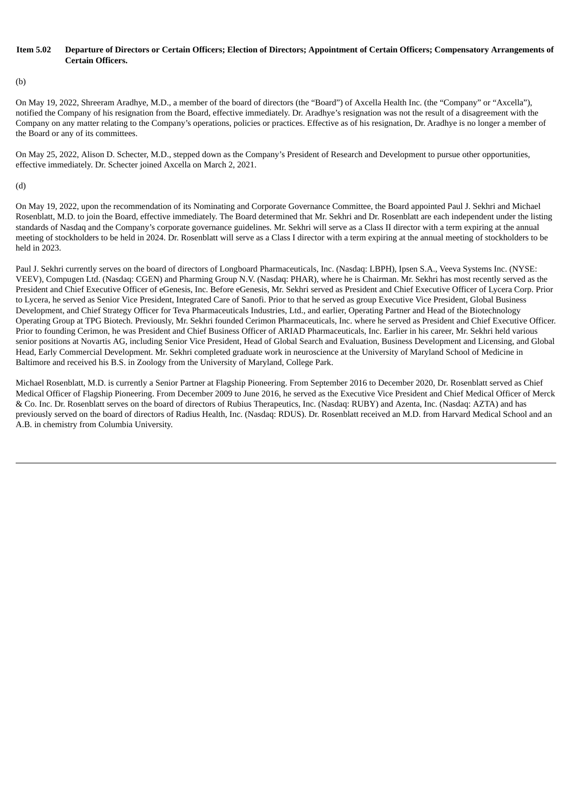#### Item 5.02 Departure of Directors or Certain Officers: Election of Directors: Appointment of Certain Officers: Compensatory Arrangements of **Certain Officers.**

(b)

On May 19, 2022, Shreeram Aradhye, M.D., a member of the board of directors (the "Board") of Axcella Health Inc. (the "Company" or "Axcella"), notified the Company of his resignation from the Board, effective immediately. Dr. Aradhye's resignation was not the result of a disagreement with the Company on any matter relating to the Company's operations, policies or practices. Effective as of his resignation, Dr. Aradhye is no longer a member of the Board or any of its committees.

On May 25, 2022, Alison D. Schecter, M.D., stepped down as the Company's President of Research and Development to pursue other opportunities, effective immediately. Dr. Schecter joined Axcella on March 2, 2021.

(d)

On May 19, 2022, upon the recommendation of its Nominating and Corporate Governance Committee, the Board appointed Paul J. Sekhri and Michael Rosenblatt, M.D. to join the Board, effective immediately. The Board determined that Mr. Sekhri and Dr. Rosenblatt are each independent under the listing standards of Nasdaq and the Company's corporate governance guidelines. Mr. Sekhri will serve as a Class II director with a term expiring at the annual meeting of stockholders to be held in 2024. Dr. Rosenblatt will serve as a Class I director with a term expiring at the annual meeting of stockholders to be held in 2023.

Paul J. Sekhri currently serves on the board of directors of Longboard Pharmaceuticals, Inc. (Nasdaq: LBPH), Ipsen S.A., Veeva Systems Inc. (NYSE: VEEV), Compugen Ltd. (Nasdaq: CGEN) and Pharming Group N.V. (Nasdaq: PHAR), where he is Chairman. Mr. Sekhri has most recently served as the President and Chief Executive Officer of eGenesis, Inc. Before eGenesis, Mr. Sekhri served as President and Chief Executive Officer of Lycera Corp. Prior to Lycera, he served as Senior Vice President, Integrated Care of Sanofi. Prior to that he served as group Executive Vice President, Global Business Development, and Chief Strategy Officer for Teva Pharmaceuticals Industries, Ltd., and earlier, Operating Partner and Head of the Biotechnology Operating Group at TPG Biotech. Previously, Mr. Sekhri founded Cerimon Pharmaceuticals, Inc. where he served as President and Chief Executive Officer. Prior to founding Cerimon, he was President and Chief Business Officer of ARIAD Pharmaceuticals, Inc. Earlier in his career, Mr. Sekhri held various senior positions at Novartis AG, including Senior Vice President, Head of Global Search and Evaluation, Business Development and Licensing, and Global Head, Early Commercial Development. Mr. Sekhri completed graduate work in neuroscience at the University of Maryland School of Medicine in Baltimore and received his B.S. in Zoology from the University of Maryland, College Park.

Michael Rosenblatt, M.D. is currently a Senior Partner at Flagship Pioneering. From September 2016 to December 2020, Dr. Rosenblatt served as Chief Medical Officer of Flagship Pioneering. From December 2009 to June 2016, he served as the Executive Vice President and Chief Medical Officer of Merck & Co. Inc. Dr. Rosenblatt serves on the board of directors of Rubius Therapeutics, Inc. (Nasdaq: RUBY) and Azenta, Inc. (Nasdaq: AZTA) and has previously served on the board of directors of Radius Health, Inc. (Nasdaq: RDUS). Dr. Rosenblatt received an M.D. from Harvard Medical School and an A.B. in chemistry from Columbia University.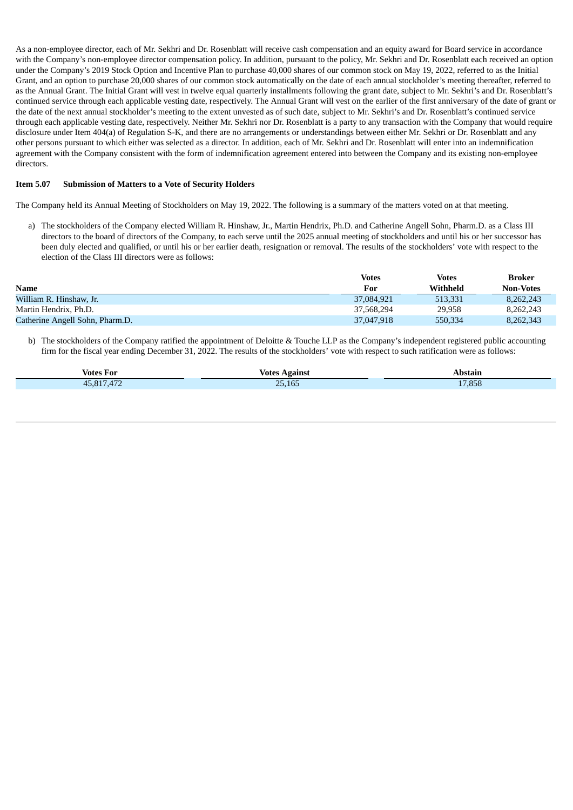As a non-employee director, each of Mr. Sekhri and Dr. Rosenblatt will receive cash compensation and an equity award for Board service in accordance with the Company's non-employee director compensation policy. In addition, pursuant to the policy, Mr. Sekhri and Dr. Rosenblatt each received an option under the Company's 2019 Stock Option and Incentive Plan to purchase 40,000 shares of our common stock on May 19, 2022, referred to as the Initial Grant, and an option to purchase 20,000 shares of our common stock automatically on the date of each annual stockholder's meeting thereafter, referred to as the Annual Grant. The Initial Grant will vest in twelve equal quarterly installments following the grant date, subject to Mr. Sekhri's and Dr. Rosenblatt's continued service through each applicable vesting date, respectively. The Annual Grant will vest on the earlier of the first anniversary of the date of grant or the date of the next annual stockholder's meeting to the extent unvested as of such date, subject to Mr. Sekhri's and Dr. Rosenblatt's continued service through each applicable vesting date, respectively. Neither Mr. Sekhri nor Dr. Rosenblatt is a party to any transaction with the Company that would require disclosure under Item 404(a) of Regulation S-K, and there are no arrangements or understandings between either Mr. Sekhri or Dr. Rosenblatt and any other persons pursuant to which either was selected as a director. In addition, each of Mr. Sekhri and Dr. Rosenblatt will enter into an indemnification agreement with the Company consistent with the form of indemnification agreement entered into between the Company and its existing non-employee directors.

#### **Item 5.07 Submission of Matters to a Vote of Security Holders**

The Company held its Annual Meeting of Stockholders on May 19, 2022. The following is a summary of the matters voted on at that meeting.

a) The stockholders of the Company elected William R. Hinshaw, Jr., Martin Hendrix, Ph.D. and Catherine Angell Sohn, Pharm.D. as a Class III directors to the board of directors of the Company, to each serve until the 2025 annual meeting of stockholders and until his or her successor has been duly elected and qualified, or until his or her earlier death, resignation or removal. The results of the stockholders' vote with respect to the election of the Class III directors were as follows:

|                                 | <b>Votes</b> | <b>Votes</b> | Broker           |
|---------------------------------|--------------|--------------|------------------|
| <b>Name</b>                     | For          | Withheld     | <b>Non-Votes</b> |
| William R. Hinshaw, Jr.         | 37.084.921   | 513.331      | 8.262.243        |
| Martin Hendrix, Ph.D.           | 37,568,294   | 29,958       | 8.262.243        |
| Catherine Angell Sohn, Pharm.D. | 37,047,918   | 550.334      | 8,262,343        |

b) The stockholders of the Company ratified the appointment of Deloitte & Touche LLP as the Company's independent registered public accounting firm for the fiscal year ending December 31, 2022. The results of the stockholders' vote with respect to such ratification were as follows:

| <b>Votes For</b> | <b>Votes Against</b> | . .<br>Abstain |
|------------------|----------------------|----------------|
| A77<br>45,817    | ACF<br>חר<br>25,165  | 17,858         |